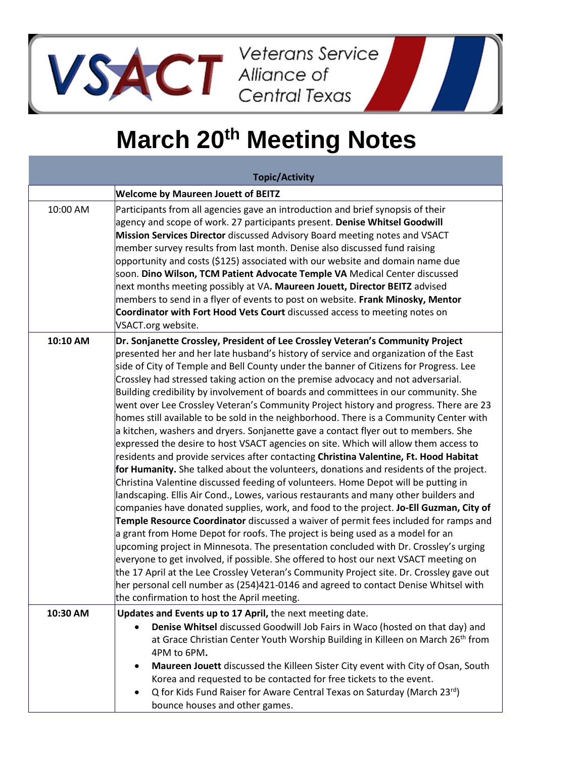

## **March 20 th Meeting Notes**

|          | <b>Topic/Activity</b>                                                                                                                                                                                                                                                                                                                                                                                                                                                                                                                                                                                                                                                                                                                                                                                                                                                                                                                                                                                                                                                                                                                                                                                                                                                                                                                                                                                                                                                                                                                                                                                                                                                                                                                                                                                                                                             |
|----------|-------------------------------------------------------------------------------------------------------------------------------------------------------------------------------------------------------------------------------------------------------------------------------------------------------------------------------------------------------------------------------------------------------------------------------------------------------------------------------------------------------------------------------------------------------------------------------------------------------------------------------------------------------------------------------------------------------------------------------------------------------------------------------------------------------------------------------------------------------------------------------------------------------------------------------------------------------------------------------------------------------------------------------------------------------------------------------------------------------------------------------------------------------------------------------------------------------------------------------------------------------------------------------------------------------------------------------------------------------------------------------------------------------------------------------------------------------------------------------------------------------------------------------------------------------------------------------------------------------------------------------------------------------------------------------------------------------------------------------------------------------------------------------------------------------------------------------------------------------------------|
|          | <b>Welcome by Maureen Jouett of BEITZ</b>                                                                                                                                                                                                                                                                                                                                                                                                                                                                                                                                                                                                                                                                                                                                                                                                                                                                                                                                                                                                                                                                                                                                                                                                                                                                                                                                                                                                                                                                                                                                                                                                                                                                                                                                                                                                                         |
| 10:00 AM | Participants from all agencies gave an introduction and brief synopsis of their<br>agency and scope of work. 27 participants present. Denise Whitsel Goodwill<br>Mission Services Director discussed Advisory Board meeting notes and VSACT<br>member survey results from last month. Denise also discussed fund raising<br>opportunity and costs (\$125) associated with our website and domain name due<br>soon. Dino Wilson, TCM Patient Advocate Temple VA Medical Center discussed<br>next months meeting possibly at VA. Maureen Jouett, Director BEITZ advised<br>members to send in a flyer of events to post on website. Frank Minosky, Mentor<br>Coordinator with Fort Hood Vets Court discussed access to meeting notes on<br>VSACT.org website.                                                                                                                                                                                                                                                                                                                                                                                                                                                                                                                                                                                                                                                                                                                                                                                                                                                                                                                                                                                                                                                                                                       |
| 10:10 AM | Dr. Sonjanette Crossley, President of Lee Crossley Veteran's Community Project<br>presented her and her late husband's history of service and organization of the East<br>side of City of Temple and Bell County under the banner of Citizens for Progress. Lee<br>Crossley had stressed taking action on the premise advocacy and not adversarial.<br>Building credibility by involvement of boards and committees in our community. She<br>went over Lee Crossley Veteran's Community Project history and progress. There are 23<br>homes still available to be sold in the neighborhood. There is a Community Center with<br>a kitchen, washers and dryers. Sonjanette gave a contact flyer out to members. She<br>expressed the desire to host VSACT agencies on site. Which will allow them access to<br>residents and provide services after contacting Christina Valentine, Ft. Hood Habitat<br>for Humanity. She talked about the volunteers, donations and residents of the project.<br>Christina Valentine discussed feeding of volunteers. Home Depot will be putting in<br>landscaping. Ellis Air Cond., Lowes, various restaurants and many other builders and<br>companies have donated supplies, work, and food to the project. Jo-Ell Guzman, City of<br>Temple Resource Coordinator discussed a waiver of permit fees included for ramps and<br>a grant from Home Depot for roofs. The project is being used as a model for an<br>upcoming project in Minnesota. The presentation concluded with Dr. Crossley's urging<br>everyone to get involved, if possible. She offered to host our next VSACT meeting on<br>the 17 April at the Lee Crossley Veteran's Community Project site. Dr. Crossley gave out<br>her personal cell number as (254)421-0146 and agreed to contact Denise Whitsel with<br>the confirmation to host the April meeting. |
| 10:30 AM | Updates and Events up to 17 April, the next meeting date.<br>Denise Whitsel discussed Goodwill Job Fairs in Waco (hosted on that day) and<br>at Grace Christian Center Youth Worship Building in Killeen on March 26 <sup>th</sup> from<br>4PM to 6PM.<br>Maureen Jouett discussed the Killeen Sister City event with City of Osan, South<br>٠<br>Korea and requested to be contacted for free tickets to the event.<br>Q for Kids Fund Raiser for Aware Central Texas on Saturday (March 23rd)<br>٠<br>bounce houses and other games.                                                                                                                                                                                                                                                                                                                                                                                                                                                                                                                                                                                                                                                                                                                                                                                                                                                                                                                                                                                                                                                                                                                                                                                                                                                                                                                            |